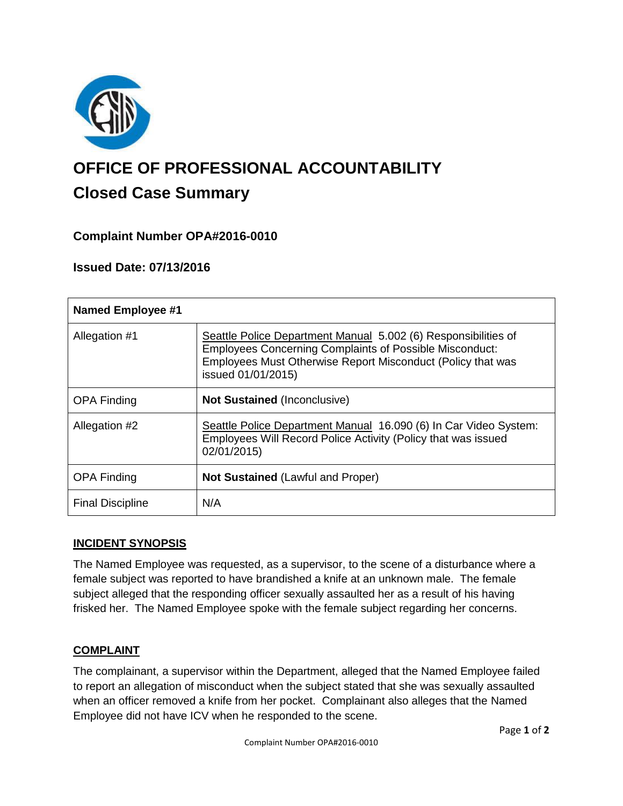

# **OFFICE OF PROFESSIONAL ACCOUNTABILITY Closed Case Summary**

# **Complaint Number OPA#2016-0010**

## **Issued Date: 07/13/2016**

| <b>Named Employee #1</b> |                                                                                                                                                                                                                       |
|--------------------------|-----------------------------------------------------------------------------------------------------------------------------------------------------------------------------------------------------------------------|
| Allegation #1            | Seattle Police Department Manual 5.002 (6) Responsibilities of<br><b>Employees Concerning Complaints of Possible Misconduct:</b><br>Employees Must Otherwise Report Misconduct (Policy that was<br>issued 01/01/2015) |
| <b>OPA Finding</b>       | <b>Not Sustained (Inconclusive)</b>                                                                                                                                                                                   |
| Allegation #2            | Seattle Police Department Manual 16.090 (6) In Car Video System:<br>Employees Will Record Police Activity (Policy that was issued<br>02/01/2015)                                                                      |
| <b>OPA Finding</b>       | <b>Not Sustained (Lawful and Proper)</b>                                                                                                                                                                              |
| <b>Final Discipline</b>  | N/A                                                                                                                                                                                                                   |

### **INCIDENT SYNOPSIS**

The Named Employee was requested, as a supervisor, to the scene of a disturbance where a female subject was reported to have brandished a knife at an unknown male. The female subject alleged that the responding officer sexually assaulted her as a result of his having frisked her. The Named Employee spoke with the female subject regarding her concerns.

### **COMPLAINT**

The complainant, a supervisor within the Department, alleged that the Named Employee failed to report an allegation of misconduct when the subject stated that she was sexually assaulted when an officer removed a knife from her pocket. Complainant also alleges that the Named Employee did not have ICV when he responded to the scene.